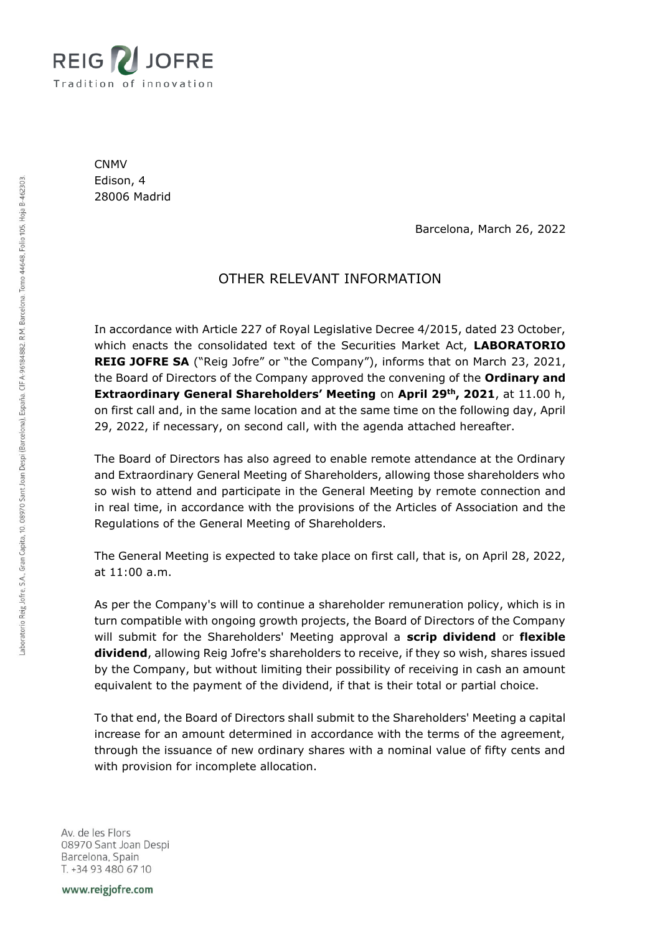

CNMV Edison, 4 28006 Madrid

Barcelona, March 26, 2022

# OTHER RELEVANT INFORMATION

In accordance with Article 227 of Royal Legislative Decree 4/2015, dated 23 October, which enacts the consolidated text of the Securities Market Act, **LABORATORIO REIG JOFRE SA** ("Reig Jofre" or "the Company"), informs that on March 23, 2021, the Board of Directors of the Company approved the convening of the **Ordinary and Extraordinary General Shareholders' Meeting** on **April 29th, 2021**, at 11.00 h, on first call and, in the same location and at the same time on the following day, April 29, 2022, if necessary, on second call, with the agenda attached hereafter.

The Board of Directors has also agreed to enable remote attendance at the Ordinary and Extraordinary General Meeting of Shareholders, allowing those shareholders who so wish to attend and participate in the General Meeting by remote connection and in real time, in accordance with the provisions of the Articles of Association and the Regulations of the General Meeting of Shareholders.

The General Meeting is expected to take place on first call, that is, on April 28, 2022, at 11:00 a.m.

As per the Company's will to continue a shareholder remuneration policy, which is in turn compatible with ongoing growth projects, the Board of Directors of the Company will submit for the Shareholders' Meeting approval a **scrip dividend** or **flexible dividend**, allowing Reig Jofre's shareholders to receive, if they so wish, shares issued by the Company, but without limiting their possibility of receiving in cash an amount equivalent to the payment of the dividend, if that is their total or partial choice.

To that end, the Board of Directors shall submit to the Shareholders' Meeting a capital increase for an amount determined in accordance with the terms of the agreement, through the issuance of new ordinary shares with a nominal value of fifty cents and with provision for incomplete allocation.

Av. de les Flors 08970 Sant Joan Despi Barcelona, Spain T. +34 93 480 67 10

www.reigjofre.com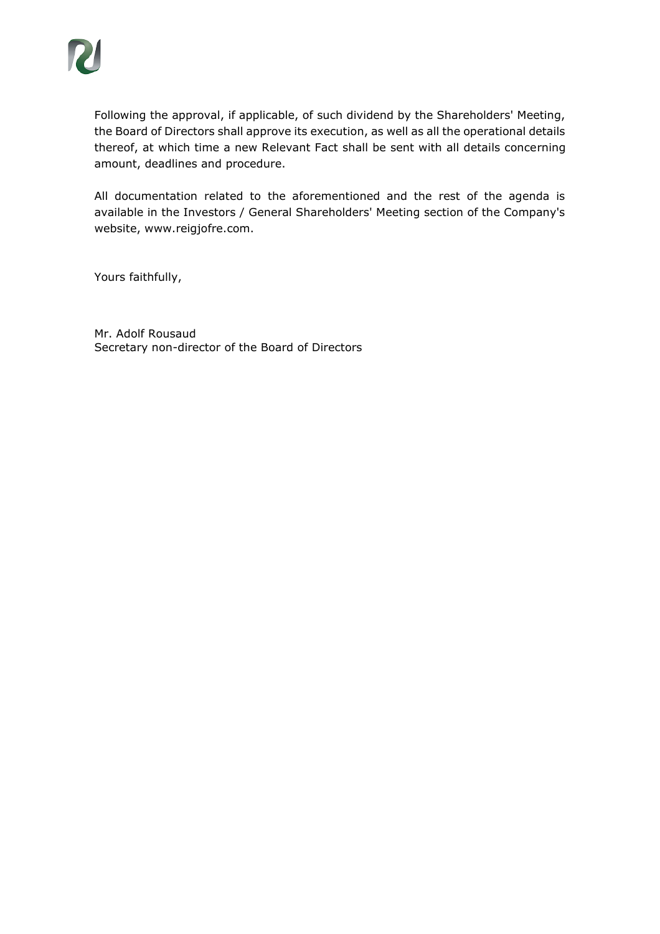Following the approval, if applicable, of such dividend by the Shareholders' Meeting, the Board of Directors shall approve its execution, as well as all the operational details thereof, at which time a new Relevant Fact shall be sent with all details concerning amount, deadlines and procedure.

All documentation related to the aforementioned and the rest of the agenda is available in the Investors / General Shareholders' Meeting section of the Company's website, www.reigjofre.com.

Yours faithfully,

Mr. Adolf Rousaud Secretary non-director of the Board of Directors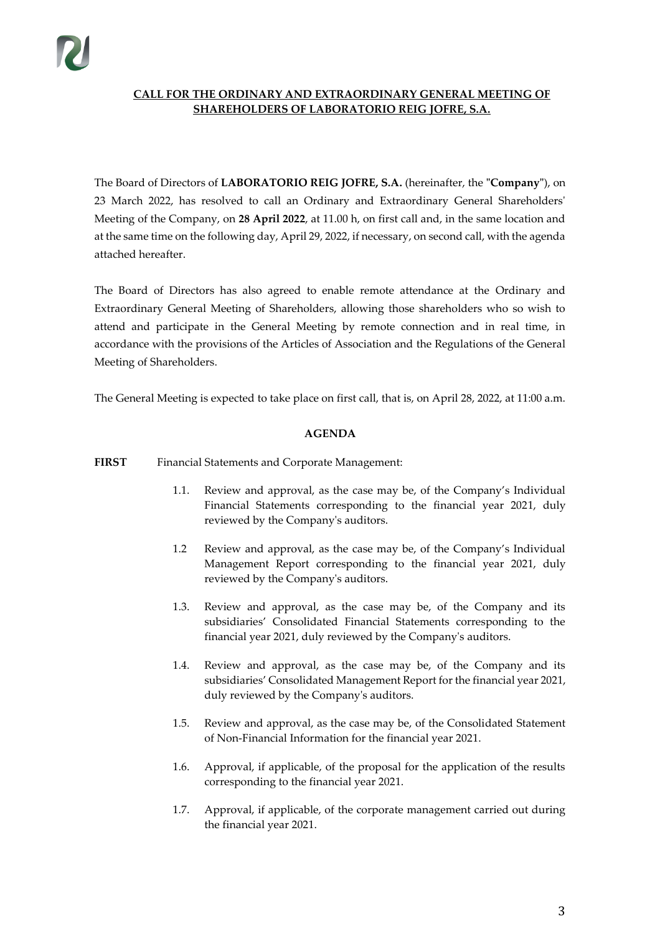# **CALL FOR THE ORDINARY AND EXTRAORDINARY GENERAL MEETING OF SHAREHOLDERS OF LABORATORIO REIG JOFRE, S.A.**

The Board of Directors of **LABORATORIO REIG JOFRE, S.A.** (hereinafter, the **"Company"**), on 23 March 2022, has resolved to call an Ordinary and Extraordinary General Shareholders' Meeting of the Company, on **28 April 2022**, at 11.00 h, on first call and, in the same location and at the same time on the following day, April 29, 2022, if necessary, on second call, with the agenda attached hereafter.

The Board of Directors has also agreed to enable remote attendance at the Ordinary and Extraordinary General Meeting of Shareholders, allowing those shareholders who so wish to attend and participate in the General Meeting by remote connection and in real time, in accordance with the provisions of the Articles of Association and the Regulations of the General Meeting of Shareholders.

The General Meeting is expected to take place on first call, that is, on April 28, 2022, at 11:00 a.m.

### **AGENDA**

### **FIRST** Financial Statements and Corporate Management:

- 1.1. Review and approval, as the case may be, of the Company's Individual Financial Statements corresponding to the financial year 2021, duly reviewed by the Company's auditors.
- 1.2 Review and approval, as the case may be, of the Company's Individual Management Report corresponding to the financial year 2021, duly reviewed by the Company's auditors.
- 1.3. Review and approval, as the case may be, of the Company and its subsidiaries' Consolidated Financial Statements corresponding to the financial year 2021, duly reviewed by the Company's auditors.
- 1.4. Review and approval, as the case may be, of the Company and its subsidiaries' Consolidated Management Report for the financial year 2021, duly reviewed by the Company's auditors.
- 1.5. Review and approval, as the case may be, of the Consolidated Statement of Non-Financial Information for the financial year 2021.
- 1.6. Approval, if applicable, of the proposal for the application of the results corresponding to the financial year 2021.
- 1.7. Approval, if applicable, of the corporate management carried out during the financial year 2021.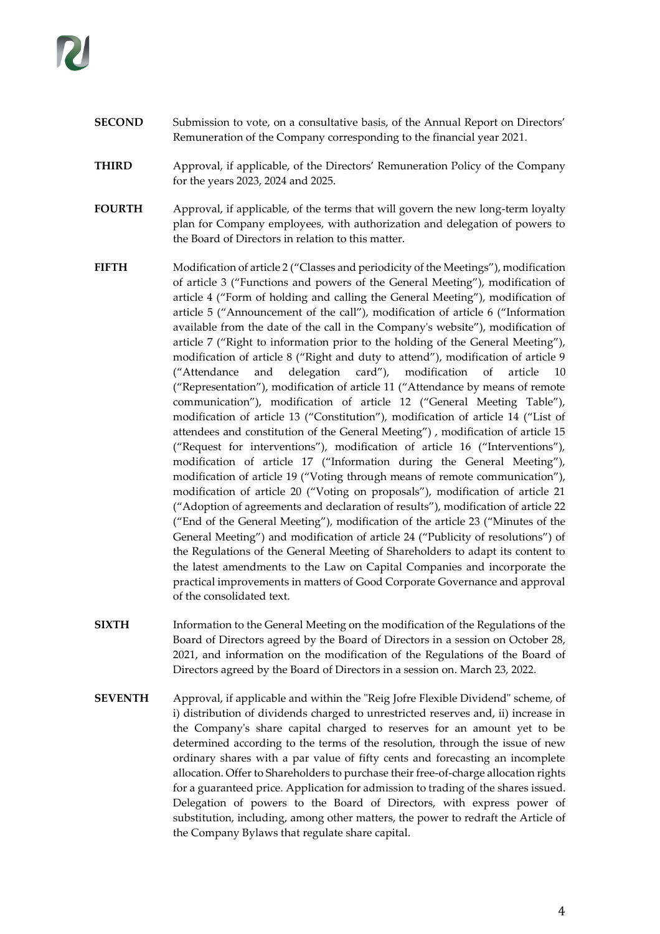- **SECOND** Submission to vote, on a consultative basis, of the Annual Report on Directors' Remuneration of the Company corresponding to the financial year 2021.
- **THIRD** Approval, if applicable, of the Directors' Remuneration Policy of the Company for the years 2023, 2024 and 2025.
- **FOURTH** Approval, if applicable, of the terms that will govern the new long-term loyalty plan for Company employees, with authorization and delegation of powers to the Board of Directors in relation to this matter.
- **FIFTH** Modification of article 2 ("Classes and periodicity of the Meetings"), modification of article 3 ("Functions and powers of the General Meeting"), modification of article 4 ("Form of holding and calling the General Meeting"), modification of article 5 ("Announcement of the call"), modification of article 6 ("Information available from the date of the call in the Company's website"), modification of article 7 ("Right to information prior to the holding of the General Meeting"), modification of article 8 ("Right and duty to attend"), modification of article 9 ("Attendance and delegation card"), modification of article 10 ("Representation"), modification of article 11 ("Attendance by means of remote communication"), modification of article 12 ("General Meeting Table"), modification of article 13 ("Constitution"), modification of article 14 ("List of attendees and constitution of the General Meeting") , modification of article 15 ("Request for interventions"), modification of article 16 ("Interventions"), modification of article 17 ("Information during the General Meeting"), modification of article 19 ("Voting through means of remote communication"), modification of article 20 ("Voting on proposals"), modification of article 21 ("Adoption of agreements and declaration of results"), modification of article 22 ("End of the General Meeting"), modification of the article 23 ("Minutes of the General Meeting") and modification of article 24 ("Publicity of resolutions") of the Regulations of the General Meeting of Shareholders to adapt its content to the latest amendments to the Law on Capital Companies and incorporate the practical improvements in matters of Good Corporate Governance and approval of the consolidated text.
- **SIXTH** Information to the General Meeting on the modification of the Regulations of the Board of Directors agreed by the Board of Directors in a session on October 28, 2021, and information on the modification of the Regulations of the Board of Directors agreed by the Board of Directors in a session on. March 23, 2022.
- **SEVENTH** Approval, if applicable and within the "Reig Jofre Flexible Dividend" scheme, of i) distribution of dividends charged to unrestricted reserves and, ii) increase in the Company's share capital charged to reserves for an amount yet to be determined according to the terms of the resolution, through the issue of new ordinary shares with a par value of fifty cents and forecasting an incomplete allocation. Offer to Shareholders to purchase their free-of-charge allocation rights for a guaranteed price. Application for admission to trading of the shares issued. Delegation of powers to the Board of Directors, with express power of substitution, including, among other matters, the power to redraft the Article of the Company Bylaws that regulate share capital.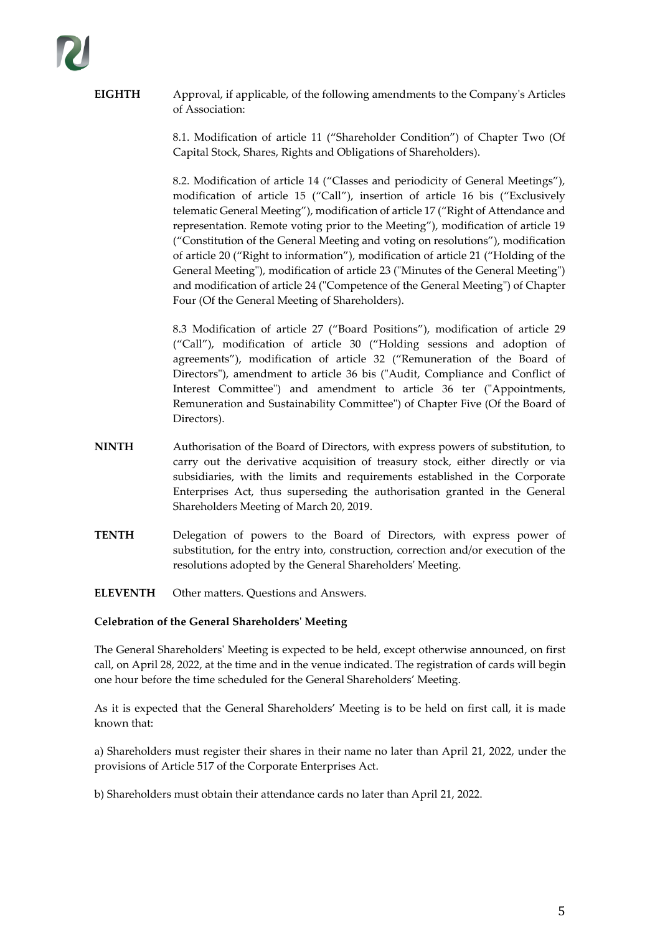**EIGHTH** Approval, if applicable, of the following amendments to the Company's Articles of Association:

> 8.1. Modification of article 11 ("Shareholder Condition") of Chapter Two (Of Capital Stock, Shares, Rights and Obligations of Shareholders).

> 8.2. Modification of article 14 ("Classes and periodicity of General Meetings"), modification of article 15 ("Call"), insertion of article 16 bis ("Exclusively telematic General Meeting"), modification of article 17 ("Right of Attendance and representation. Remote voting prior to the Meeting"), modification of article 19 ("Constitution of the General Meeting and voting on resolutions"), modification of article 20 ("Right to information"), modification of article 21 ("Holding of the General Meeting"), modification of article 23 ("Minutes of the General Meeting") and modification of article 24 ("Competence of the General Meeting") of Chapter Four (Of the General Meeting of Shareholders).

> 8.3 Modification of article 27 ("Board Positions"), modification of article 29 ("Call"), modification of article 30 ("Holding sessions and adoption of agreements"), modification of article 32 ("Remuneration of the Board of Directors"), amendment to article 36 bis ("Audit, Compliance and Conflict of Interest Committee") and amendment to article 36 ter ("Appointments, Remuneration and Sustainability Committee") of Chapter Five (Of the Board of Directors).

- **NINTH** Authorisation of the Board of Directors, with express powers of substitution, to carry out the derivative acquisition of treasury stock, either directly or via subsidiaries, with the limits and requirements established in the Corporate Enterprises Act, thus superseding the authorisation granted in the General Shareholders Meeting of March 20, 2019.
- **TENTH** Delegation of powers to the Board of Directors, with express power of substitution, for the entry into, construction, correction and/or execution of the resolutions adopted by the General Shareholders' Meeting.
- **ELEVENTH** Other matters. Questions and Answers.

### **Celebration of the General Shareholders' Meeting**

The General Shareholders' Meeting is expected to be held, except otherwise announced, on first call, on April 28, 2022, at the time and in the venue indicated. The registration of cards will begin one hour before the time scheduled for the General Shareholders' Meeting.

As it is expected that the General Shareholders' Meeting is to be held on first call, it is made known that:

a) Shareholders must register their shares in their name no later than April 21, 2022, under the provisions of Article 517 of the Corporate Enterprises Act.

b) Shareholders must obtain their attendance cards no later than April 21, 2022.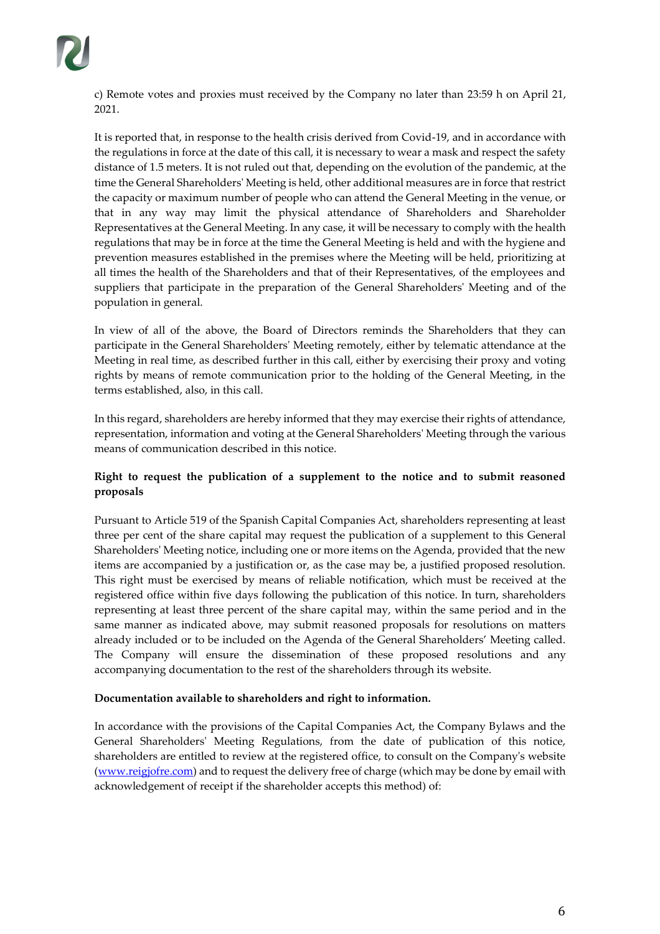

c) Remote votes and proxies must received by the Company no later than 23:59 h on April 21, 2021.

It is reported that, in response to the health crisis derived from Covid-19, and in accordance with the regulations in force at the date of this call, it is necessary to wear a mask and respect the safety distance of 1.5 meters. It is not ruled out that, depending on the evolution of the pandemic, at the time the General Shareholders' Meeting is held, other additional measures are in force that restrict the capacity or maximum number of people who can attend the General Meeting in the venue, or that in any way may limit the physical attendance of Shareholders and Shareholder Representatives at the General Meeting. In any case, it will be necessary to comply with the health regulations that may be in force at the time the General Meeting is held and with the hygiene and prevention measures established in the premises where the Meeting will be held, prioritizing at all times the health of the Shareholders and that of their Representatives, of the employees and suppliers that participate in the preparation of the General Shareholders' Meeting and of the population in general.

In view of all of the above, the Board of Directors reminds the Shareholders that they can participate in the General Shareholders' Meeting remotely, either by telematic attendance at the Meeting in real time, as described further in this call, either by exercising their proxy and voting rights by means of remote communication prior to the holding of the General Meeting, in the terms established, also, in this call.

In this regard, shareholders are hereby informed that they may exercise their rights of attendance, representation, information and voting at the General Shareholders' Meeting through the various means of communication described in this notice.

### **Right to request the publication of a supplement to the notice and to submit reasoned proposals**

Pursuant to Article 519 of the Spanish Capital Companies Act, shareholders representing at least three per cent of the share capital may request the publication of a supplement to this General Shareholders' Meeting notice, including one or more items on the Agenda, provided that the new items are accompanied by a justification or, as the case may be, a justified proposed resolution. This right must be exercised by means of reliable notification, which must be received at the registered office within five days following the publication of this notice. In turn, shareholders representing at least three percent of the share capital may, within the same period and in the same manner as indicated above, may submit reasoned proposals for resolutions on matters already included or to be included on the Agenda of the General Shareholders' Meeting called. The Company will ensure the dissemination of these proposed resolutions and any accompanying documentation to the rest of the shareholders through its website.

### **Documentation available to shareholders and right to information.**

In accordance with the provisions of the Capital Companies Act, the Company Bylaws and the General Shareholders' Meeting Regulations, from the date of publication of this notice, shareholders are entitled to review at the registered office, to consult on the Company's website [\(www.reigjofre.com\)](http://www.reigjofre.com/) and to request the delivery free of charge (which may be done by email with acknowledgement of receipt if the shareholder accepts this method) of: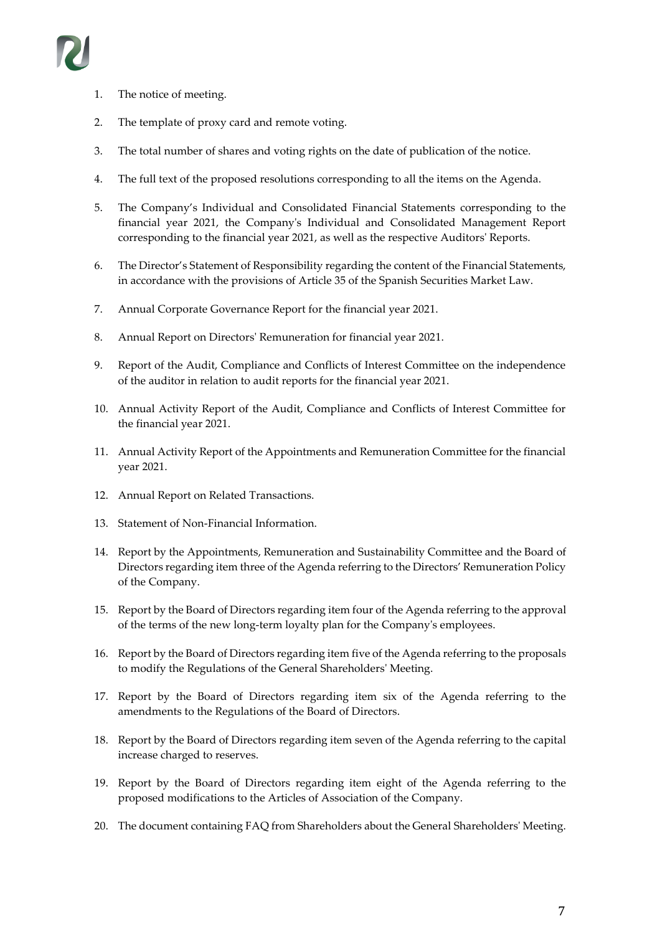

- 1. The notice of meeting.
- 2. The template of proxy card and remote voting.
- 3. The total number of shares and voting rights on the date of publication of the notice.
- 4. The full text of the proposed resolutions corresponding to all the items on the Agenda.
- 5. The Company's Individual and Consolidated Financial Statements corresponding to the financial year 2021, the Company's Individual and Consolidated Management Report corresponding to the financial year 2021, as well as the respective Auditors' Reports.
- 6. The Director's Statement of Responsibility regarding the content of the Financial Statements, in accordance with the provisions of Article 35 of the Spanish Securities Market Law.
- 7. Annual Corporate Governance Report for the financial year 2021.
- 8. Annual Report on Directors' Remuneration for financial year 2021.
- 9. Report of the Audit, Compliance and Conflicts of Interest Committee on the independence of the auditor in relation to audit reports for the financial year 2021.
- 10. Annual Activity Report of the Audit, Compliance and Conflicts of Interest Committee for the financial year 2021.
- 11. Annual Activity Report of the Appointments and Remuneration Committee for the financial year 2021.
- 12. Annual Report on Related Transactions.
- 13. Statement of Non-Financial Information.
- 14. Report by the Appointments, Remuneration and Sustainability Committee and the Board of Directors regarding item three of the Agenda referring to the Directors' Remuneration Policy of the Company.
- 15. Report by the Board of Directors regarding item four of the Agenda referring to the approval of the terms of the new long-term loyalty plan for the Company's employees.
- 16. Report by the Board of Directors regarding item five of the Agenda referring to the proposals to modify the Regulations of the General Shareholders' Meeting.
- 17. Report by the Board of Directors regarding item six of the Agenda referring to the amendments to the Regulations of the Board of Directors.
- 18. Report by the Board of Directors regarding item seven of the Agenda referring to the capital increase charged to reserves.
- 19. Report by the Board of Directors regarding item eight of the Agenda referring to the proposed modifications to the Articles of Association of the Company.
- 20. The document containing FAQ from Shareholders about the General Shareholders' Meeting.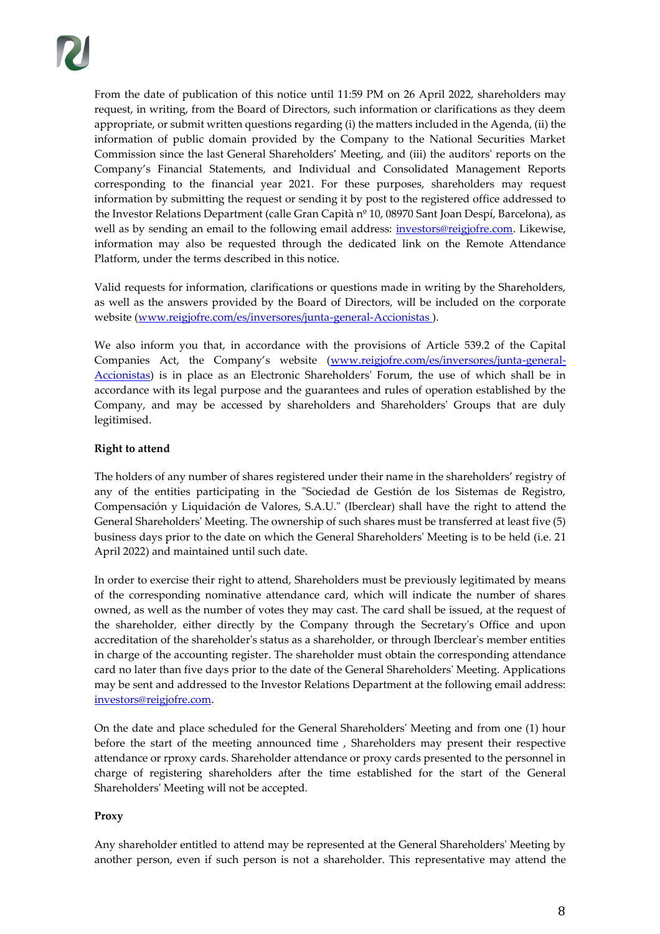From the date of publication of this notice until 11:59 PM on 26 April 2022, shareholders may request, in writing, from the Board of Directors, such information or clarifications as they deem appropriate, or submit written questions regarding (i) the matters included in the Agenda, (ii) the information of public domain provided by the Company to the National Securities Market Commission since the last General Shareholders' Meeting, and (iii) the auditors' reports on the Company's Financial Statements, and Individual and Consolidated Management Reports corresponding to the financial year 2021. For these purposes, shareholders may request information by submitting the request or sending it by post to the registered office addressed to the Investor Relations Department (calle Gran Capità nº 10, 08970 Sant Joan Despí, Barcelona), as well as by sending an email to the following email address: *investors@reigjofre.com*. Likewise, information may also be requested through the dedicated link on the Remote Attendance Platform, under the terms described in this notice.

Valid requests for information, clarifications or questions made in writing by the Shareholders, as well as the answers provided by the Board of Directors, will be included on the corporate website (www.reigjofre.com/es/inversores/junta-general-Accionistas).

We also inform you that, in accordance with the provisions of Article 539.2 of the Capital Companies Act, the Company's website ([www.reigjofre.com/es/inversores/junta-general-](http://www.reigjofre.com/es/inversores/junta-general-accionistas)[Accionistas\)](http://www.reigjofre.com/es/inversores/junta-general-accionistas) is in place as an Electronic Shareholders' Forum, the use of which shall be in accordance with its legal purpose and the guarantees and rules of operation established by the Company, and may be accessed by shareholders and Shareholders' Groups that are duly legitimised.

# **Right to attend**

The holders of any number of shares registered under their name in the shareholders' registry of any of the entities participating in the "Sociedad de Gestión de los Sistemas de Registro, Compensación y Liquidación de Valores, S.A.U." (Iberclear) shall have the right to attend the General Shareholders' Meeting. The ownership of such shares must be transferred at least five (5) business days prior to the date on which the General Shareholders' Meeting is to be held (i.e. 21 April 2022) and maintained until such date.

In order to exercise their right to attend, Shareholders must be previously legitimated by means of the corresponding nominative attendance card, which will indicate the number of shares owned, as well as the number of votes they may cast. The card shall be issued, at the request of the shareholder, either directly by the Company through the Secretary's Office and upon accreditation of the shareholder's status as a shareholder, or through Iberclear's member entities in charge of the accounting register. The shareholder must obtain the corresponding attendance card no later than five days prior to the date of the General Shareholders' Meeting. Applications may be sent and addressed to the Investor Relations Department at the following email address: [investors@reigjofre.com.](mailto:investors@reigjofre.com)

On the date and place scheduled for the General Shareholders' Meeting and from one (1) hour before the start of the meeting announced time , Shareholders may present their respective attendance or rproxy cards. Shareholder attendance or proxy cards presented to the personnel in charge of registering shareholders after the time established for the start of the General Shareholders' Meeting will not be accepted.

### **Proxy**

Any shareholder entitled to attend may be represented at the General Shareholders' Meeting by another person, even if such person is not a shareholder. This representative may attend the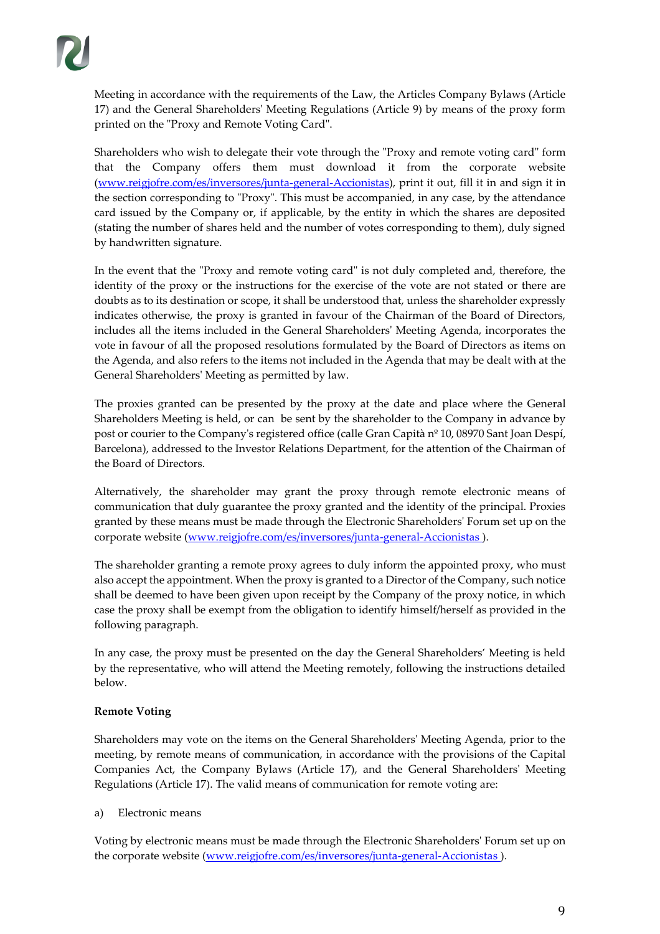Meeting in accordance with the requirements of the Law, the Articles Company Bylaws (Article 17) and the General Shareholders' Meeting Regulations (Article 9) by means of the proxy form printed on the "Proxy and Remote Voting Card".

Shareholders who wish to delegate their vote through the "Proxy and remote voting card" form that the Company offers them must download it from the corporate website [\(www.reigjofre.com/es/inversores/junta-general-Accionistas\)](http://www.reigjofre.com/es/inversores/junta-general-accionistas), print it out, fill it in and sign it in the section corresponding to "Proxy". This must be accompanied, in any case, by the attendance card issued by the Company or, if applicable, by the entity in which the shares are deposited (stating the number of shares held and the number of votes corresponding to them), duly signed by handwritten signature.

In the event that the "Proxy and remote voting card" is not duly completed and, therefore, the identity of the proxy or the instructions for the exercise of the vote are not stated or there are doubts as to its destination or scope, it shall be understood that, unless the shareholder expressly indicates otherwise, the proxy is granted in favour of the Chairman of the Board of Directors, includes all the items included in the General Shareholders' Meeting Agenda, incorporates the vote in favour of all the proposed resolutions formulated by the Board of Directors as items on the Agenda, and also refers to the items not included in the Agenda that may be dealt with at the General Shareholders' Meeting as permitted by law.

The proxies granted can be presented by the proxy at the date and place where the General Shareholders Meeting is held, or can be sent by the shareholder to the Company in advance by post or courier to the Company's registered office (calle Gran Capità nº 10, 08970 Sant Joan Despí, Barcelona), addressed to the Investor Relations Department, for the attention of the Chairman of the Board of Directors.

Alternatively, the shareholder may grant the proxy through remote electronic means of communication that duly guarantee the proxy granted and the identity of the principal. Proxies granted by these means must be made through the Electronic Shareholders' Forum set up on the corporate website [\(www.reigjofre.com/es/inversores/junta-general-Accionistas \)](http://www.reigjofre.com/es/inversores/junta-general-accionistas).

The shareholder granting a remote proxy agrees to duly inform the appointed proxy, who must also accept the appointment. When the proxy is granted to a Director of the Company, such notice shall be deemed to have been given upon receipt by the Company of the proxy notice, in which case the proxy shall be exempt from the obligation to identify himself/herself as provided in the following paragraph.

In any case, the proxy must be presented on the day the General Shareholders' Meeting is held by the representative, who will attend the Meeting remotely, following the instructions detailed below.

# **Remote Voting**

Shareholders may vote on the items on the General Shareholders' Meeting Agenda, prior to the meeting, by remote means of communication, in accordance with the provisions of the Capital Companies Act, the Company Bylaws (Article 17), and the General Shareholders' Meeting Regulations (Article 17). The valid means of communication for remote voting are:

# a) Electronic means

Voting by electronic means must be made through the Electronic Shareholders' Forum set up on the corporate website (www.reigjofre.com/es/inversores/junta-general-Accionistas).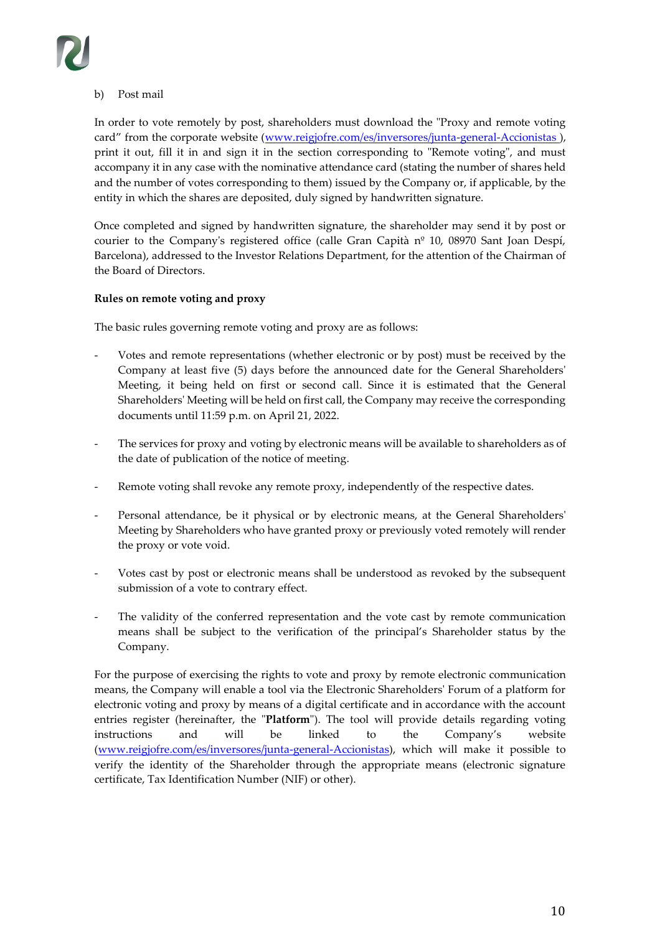# b) Post mail

In order to vote remotely by post, shareholders must download the "Proxy and remote voting card" from the corporate website (www.reigjofre.com/es/inversores/junta-general-Accionistas), print it out, fill it in and sign it in the section corresponding to "Remote voting", and must accompany it in any case with the nominative attendance card (stating the number of shares held and the number of votes corresponding to them) issued by the Company or, if applicable, by the entity in which the shares are deposited, duly signed by handwritten signature.

Once completed and signed by handwritten signature, the shareholder may send it by post or courier to the Company's registered office (calle Gran Capità  $n<sup>o</sup>$  10, 08970 Sant Joan Despí, Barcelona), addressed to the Investor Relations Department, for the attention of the Chairman of the Board of Directors.

### **Rules on remote voting and proxy**

The basic rules governing remote voting and proxy are as follows:

- Votes and remote representations (whether electronic or by post) must be received by the Company at least five (5) days before the announced date for the General Shareholders' Meeting, it being held on first or second call. Since it is estimated that the General Shareholders' Meeting will be held on first call, the Company may receive the corresponding documents until 11:59 p.m. on April 21, 2022.
- The services for proxy and voting by electronic means will be available to shareholders as of the date of publication of the notice of meeting.
- Remote voting shall revoke any remote proxy, independently of the respective dates.
- Personal attendance, be it physical or by electronic means, at the General Shareholders' Meeting by Shareholders who have granted proxy or previously voted remotely will render the proxy or vote void.
- Votes cast by post or electronic means shall be understood as revoked by the subsequent submission of a vote to contrary effect.
- The validity of the conferred representation and the vote cast by remote communication means shall be subject to the verification of the principal's Shareholder status by the Company.

For the purpose of exercising the rights to vote and proxy by remote electronic communication means, the Company will enable a tool via the Electronic Shareholders' Forum of a platform for electronic voting and proxy by means of a digital certificate and in accordance with the account entries register (hereinafter, the "**Platform**"). The tool will provide details regarding voting instructions and will be linked to the Company's website [\(www.reigjofre.com/es/inversores/junta-general-Accionistas\)](http://www.reigjofre.com/es/inversores/junta-general-accionistas), which will make it possible to verify the identity of the Shareholder through the appropriate means (electronic signature certificate, Tax Identification Number (NIF) or other).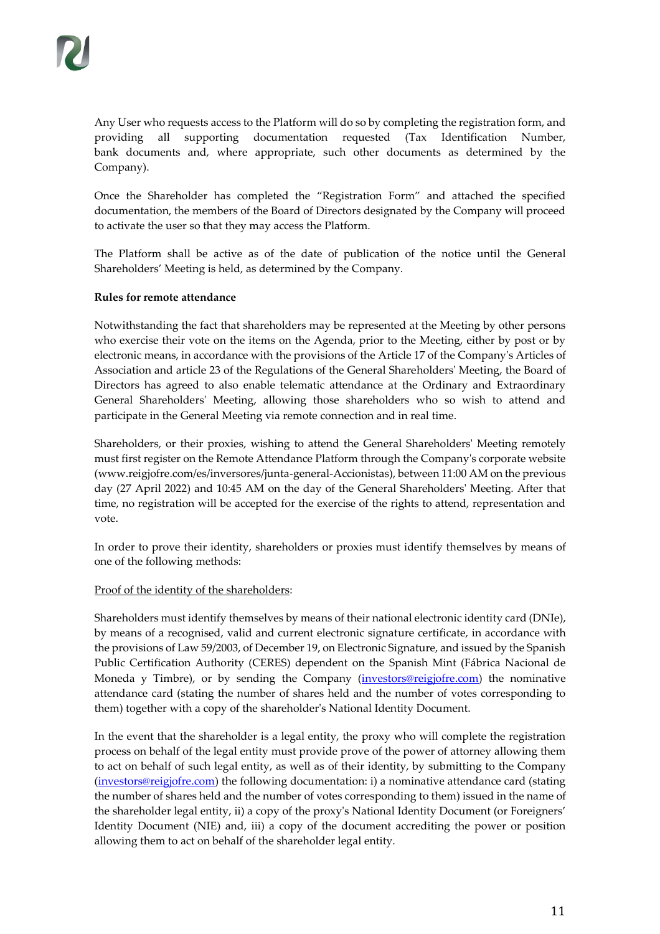Any User who requests access to the Platform will do so by completing the registration form, and providing all supporting documentation requested (Tax Identification Number, bank documents and, where appropriate, such other documents as determined by the Company).

Once the Shareholder has completed the "Registration Form" and attached the specified documentation, the members of the Board of Directors designated by the Company will proceed to activate the user so that they may access the Platform.

The Platform shall be active as of the date of publication of the notice until the General Shareholders' Meeting is held, as determined by the Company.

### **Rules for remote attendance**

Notwithstanding the fact that shareholders may be represented at the Meeting by other persons who exercise their vote on the items on the Agenda, prior to the Meeting, either by post or by electronic means, in accordance with the provisions of the Article 17 of the Company's Articles of Association and article 23 of the Regulations of the General Shareholders' Meeting, the Board of Directors has agreed to also enable telematic attendance at the Ordinary and Extraordinary General Shareholders' Meeting, allowing those shareholders who so wish to attend and participate in the General Meeting via remote connection and in real time.

Shareholders, or their proxies, wishing to attend the General Shareholders' Meeting remotely must first register on the Remote Attendance Platform through the Company's corporate website [\(www.reigjofre.com/es/inversores/junta-general-Accionistas\)](http://www.reigjofre.com/es/inversores/junta-general-accionistas), between 11:00 AM on the previous day (27 April 2022) and 10:45 AM on the day of the General Shareholders' Meeting. After that time, no registration will be accepted for the exercise of the rights to attend, representation and vote.

In order to prove their identity, shareholders or proxies must identify themselves by means of one of the following methods:

### Proof of the identity of the shareholders:

Shareholders must identify themselves by means of their national electronic identity card (DNIe), by means of a recognised, valid and current electronic signature certificate, in accordance with the provisions of Law 59/2003, of December 19, on Electronic Signature, and issued by the Spanish Public Certification Authority (CERES) dependent on the Spanish Mint (Fábrica Nacional de Moneda y Timbre), or by sending the Company (*investors@reigjofre.com*) the nominative attendance card (stating the number of shares held and the number of votes corresponding to them) together with a copy of the shareholder's National Identity Document.

In the event that the shareholder is a legal entity, the proxy who will complete the registration process on behalf of the legal entity must provide prove of the power of attorney allowing them to act on behalf of such legal entity, as well as of their identity, by submitting to the Company [\(investors@reigjofre.com\)](mailto:investors@reigjofre.com) the following documentation: i) a nominative attendance card (stating the number of shares held and the number of votes corresponding to them) issued in the name of the shareholder legal entity, ii) a copy of the proxy's National Identity Document (or Foreigners' Identity Document (NIE) and, iii) a copy of the document accrediting the power or position allowing them to act on behalf of the shareholder legal entity.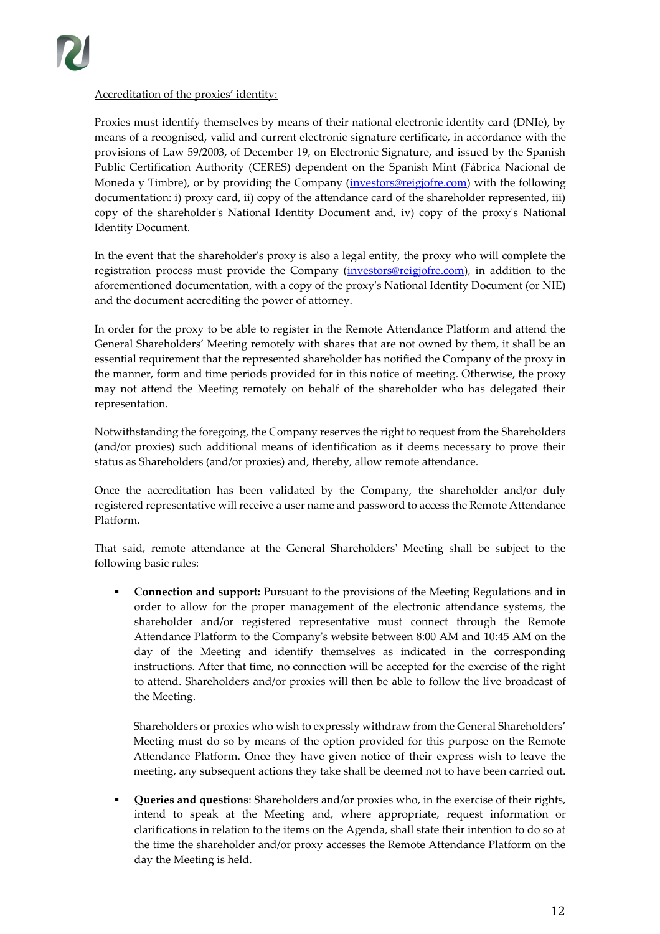

### Accreditation of the proxies' identity:

Proxies must identify themselves by means of their national electronic identity card (DNIe), by means of a recognised, valid and current electronic signature certificate, in accordance with the provisions of Law 59/2003, of December 19, on Electronic Signature, and issued by the Spanish Public Certification Authority (CERES) dependent on the Spanish Mint (Fábrica Nacional de Moneda y Timbre), or by providing the Company (*investors@reigjofre.com*) with the following documentation: i) proxy card, ii) copy of the attendance card of the shareholder represented, iii) copy of the shareholder's National Identity Document and, iv) copy of the proxy's National Identity Document.

In the event that the shareholder's proxy is also a legal entity, the proxy who will complete the registration process must provide the Company [\(investors@reigjofre.com\)](mailto:investors@reigjofre.com), in addition to the aforementioned documentation, with a copy of the proxy's National Identity Document (or NIE) and the document accrediting the power of attorney.

In order for the proxy to be able to register in the Remote Attendance Platform and attend the General Shareholders' Meeting remotely with shares that are not owned by them, it shall be an essential requirement that the represented shareholder has notified the Company of the proxy in the manner, form and time periods provided for in this notice of meeting. Otherwise, the proxy may not attend the Meeting remotely on behalf of the shareholder who has delegated their representation.

Notwithstanding the foregoing, the Company reserves the right to request from the Shareholders (and/or proxies) such additional means of identification as it deems necessary to prove their status as Shareholders (and/or proxies) and, thereby, allow remote attendance.

Once the accreditation has been validated by the Company, the shareholder and/or duly registered representative will receive a user name and password to access the Remote Attendance Platform.

That said, remote attendance at the General Shareholders' Meeting shall be subject to the following basic rules:

▪ **Connection and support:** Pursuant to the provisions of the Meeting Regulations and in order to allow for the proper management of the electronic attendance systems, the shareholder and/or registered representative must connect through the Remote Attendance Platform to the Company's website between 8:00 AM and 10:45 AM on the day of the Meeting and identify themselves as indicated in the corresponding instructions. After that time, no connection will be accepted for the exercise of the right to attend. Shareholders and/or proxies will then be able to follow the live broadcast of the Meeting.

Shareholders or proxies who wish to expressly withdraw from the General Shareholders' Meeting must do so by means of the option provided for this purpose on the Remote Attendance Platform. Once they have given notice of their express wish to leave the meeting, any subsequent actions they take shall be deemed not to have been carried out.

**Queries and questions**: Shareholders and/or proxies who, in the exercise of their rights, intend to speak at the Meeting and, where appropriate, request information or clarifications in relation to the items on the Agenda, shall state their intention to do so at the time the shareholder and/or proxy accesses the Remote Attendance Platform on the day the Meeting is held.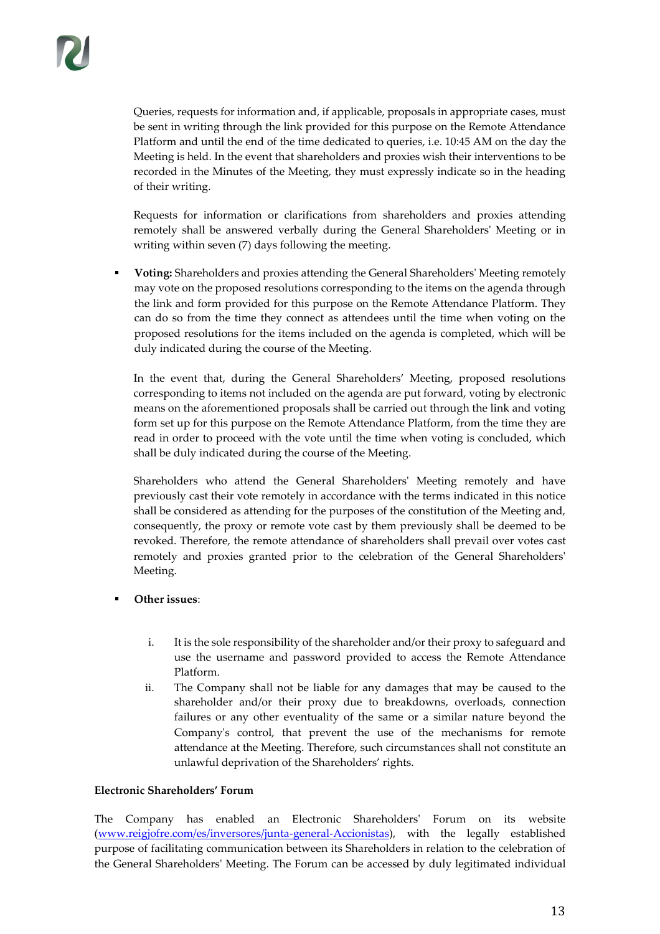Queries, requests for information and, if applicable, proposals in appropriate cases, must be sent in writing through the link provided for this purpose on the Remote Attendance Platform and until the end of the time dedicated to queries, i.e. 10:45 AM on the day the Meeting is held. In the event that shareholders and proxies wish their interventions to be recorded in the Minutes of the Meeting, they must expressly indicate so in the heading of their writing.

Requests for information or clarifications from shareholders and proxies attending remotely shall be answered verbally during the General Shareholders' Meeting or in writing within seven (7) days following the meeting.

▪ **Voting:** Shareholders and proxies attending the General Shareholders' Meeting remotely may vote on the proposed resolutions corresponding to the items on the agenda through the link and form provided for this purpose on the Remote Attendance Platform. They can do so from the time they connect as attendees until the time when voting on the proposed resolutions for the items included on the agenda is completed, which will be duly indicated during the course of the Meeting.

In the event that, during the General Shareholders' Meeting, proposed resolutions corresponding to items not included on the agenda are put forward, voting by electronic means on the aforementioned proposals shall be carried out through the link and voting form set up for this purpose on the Remote Attendance Platform, from the time they are read in order to proceed with the vote until the time when voting is concluded, which shall be duly indicated during the course of the Meeting.

Shareholders who attend the General Shareholders' Meeting remotely and have previously cast their vote remotely in accordance with the terms indicated in this notice shall be considered as attending for the purposes of the constitution of the Meeting and, consequently, the proxy or remote vote cast by them previously shall be deemed to be revoked. Therefore, the remote attendance of shareholders shall prevail over votes cast remotely and proxies granted prior to the celebration of the General Shareholders' Meeting.

- **Other issues:** 
	- i. It is the sole responsibility of the shareholder and/or their proxy to safeguard and use the username and password provided to access the Remote Attendance Platform.
	- ii. The Company shall not be liable for any damages that may be caused to the shareholder and/or their proxy due to breakdowns, overloads, connection failures or any other eventuality of the same or a similar nature beyond the Company's control, that prevent the use of the mechanisms for remote attendance at the Meeting. Therefore, such circumstances shall not constitute an unlawful deprivation of the Shareholders' rights.

### **Electronic Shareholders' Forum**

The Company has enabled an Electronic Shareholders' Forum on its website [\(www.reigjofre.com/es/inversores/junta-general-Accionistas\)](http://www.reigjofre.com/es/inversores/junta-general-accionistas), with the legally established purpose of facilitating communication between its Shareholders in relation to the celebration of the General Shareholders' Meeting. The Forum can be accessed by duly legitimated individual